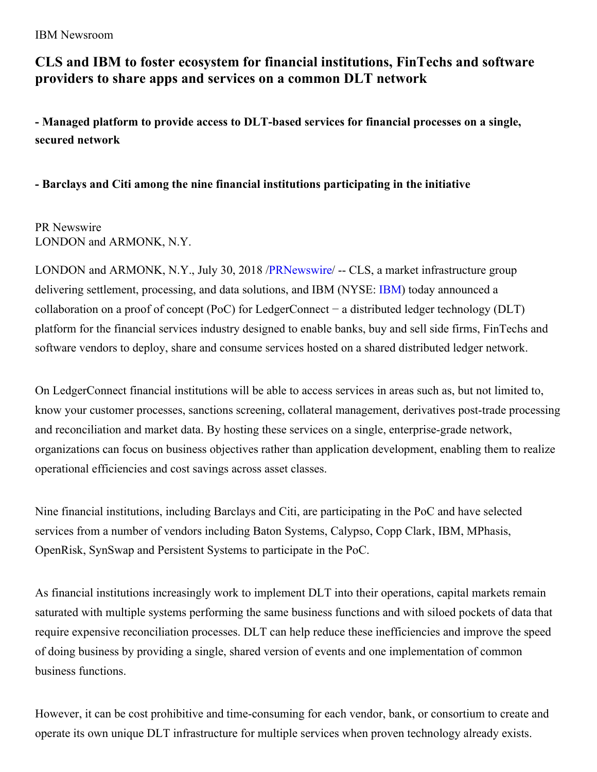IBM Newsroom

# **CLS and IBM to foster ecosystem for financial institutions, FinTechs and software providers to share apps and services on a common DLT network**

**- Managed platform to provide access to DLT-based services for financial processes on a single, secured network**

## **- Barclays and Citi among the nine financial institutions participating in the initiative**

### PR Newswire LONDON and ARMONK, N.Y.

LONDON and ARMONK, N.Y., July 30, 2018 [/PRNewswire](http://www.prnewswire.com/)/ -- CLS, a market infrastructure group delivering settlement, processing, and data solutions, and [IBM](http://www.ibm.com/investor) (NYSE: IBM) today announced a collaboration on a proof of concept (PoC) for LedgerConnect − a distributed ledger technology (DLT) platform for the financial services industry designed to enable banks, buy and sell side firms, FinTechs and software vendors to deploy, share and consume services hosted on a shared distributed ledger network.

On LedgerConnect financial institutions will be able to access services in areas such as, but not limited to, know your customer processes, sanctions screening, collateral management, derivatives post-trade processing and reconciliation and market data. By hosting these services on a single, enterprise-grade network, organizations can focus on business objectives rather than application development, enabling them to realize operational efficiencies and cost savings across asset classes.

Nine financial institutions, including Barclays and Citi, are participating in the PoC and have selected services from a number of vendors including Baton Systems, Calypso, Copp Clark, IBM, MPhasis, OpenRisk, SynSwap and Persistent Systems to participate in the PoC.

As financial institutions increasingly work to implement DLT into their operations, capital markets remain saturated with multiple systems performing the same business functions and with siloed pockets of data that require expensive reconciliation processes. DLT can help reduce these inefficiencies and improve the speed of doing business by providing a single, shared version of events and one implementation of common business functions.

However, it can be cost prohibitive and time-consuming for each vendor, bank, or consortium to create and operate its own unique DLT infrastructure for multiple services when proven technology already exists.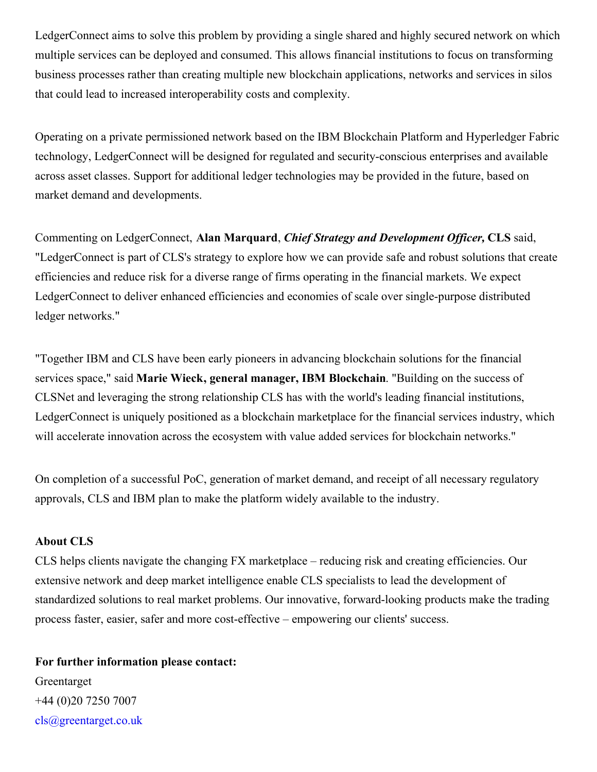LedgerConnect aims to solve this problem by providing a single shared and highly secured network on which multiple services can be deployed and consumed. This allows financial institutions to focus on transforming business processes rather than creating multiple new blockchain applications, networks and services in silos that could lead to increased interoperability costs and complexity.

Operating on a private permissioned network based on the IBM Blockchain Platform and Hyperledger Fabric technology, LedgerConnect will be designed for regulated and security-conscious enterprises and available across asset classes. Support for additional ledger technologies may be provided in the future, based on market demand and developments.

Commenting on LedgerConnect, **Alan Marquard**, *Chief Strategy and Development Of icer,* **CLS** said, "LedgerConnect is part of CLS's strategy to explore how we can provide safe and robust solutions that create efficiencies and reduce risk for a diverse range of firms operating in the financial markets. We expect LedgerConnect to deliver enhanced efficiencies and economies of scale over single-purpose distributed ledger networks."

"Together IBM and CLS have been early pioneers in advancing blockchain solutions for the financial services space," said **Marie Wieck, general manager, IBM Blockchain**. "Building on the success of CLSNet and leveraging the strong relationship CLS has with the world's leading financial institutions, LedgerConnect is uniquely positioned as a blockchain marketplace for the financial services industry, which will accelerate innovation across the ecosystem with value added services for blockchain networks."

On completion of a successful PoC, generation of market demand, and receipt of all necessary regulatory approvals, CLS and IBM plan to make the platform widely available to the industry.

#### **About CLS**

CLS helps clients navigate the changing FX marketplace – reducing risk and creating efficiencies. Our extensive network and deep market intelligence enable CLS specialists to lead the development of standardized solutions to real market problems. Our innovative, forward-looking products make the trading process faster, easier, safer and more cost-effective – empowering our clients' success.

#### **For further information please contact:**

Greentarget +44 (0)20 7250 7007 [cls@greentarget.co.uk](mailto:cls@greentarget.co.uk)